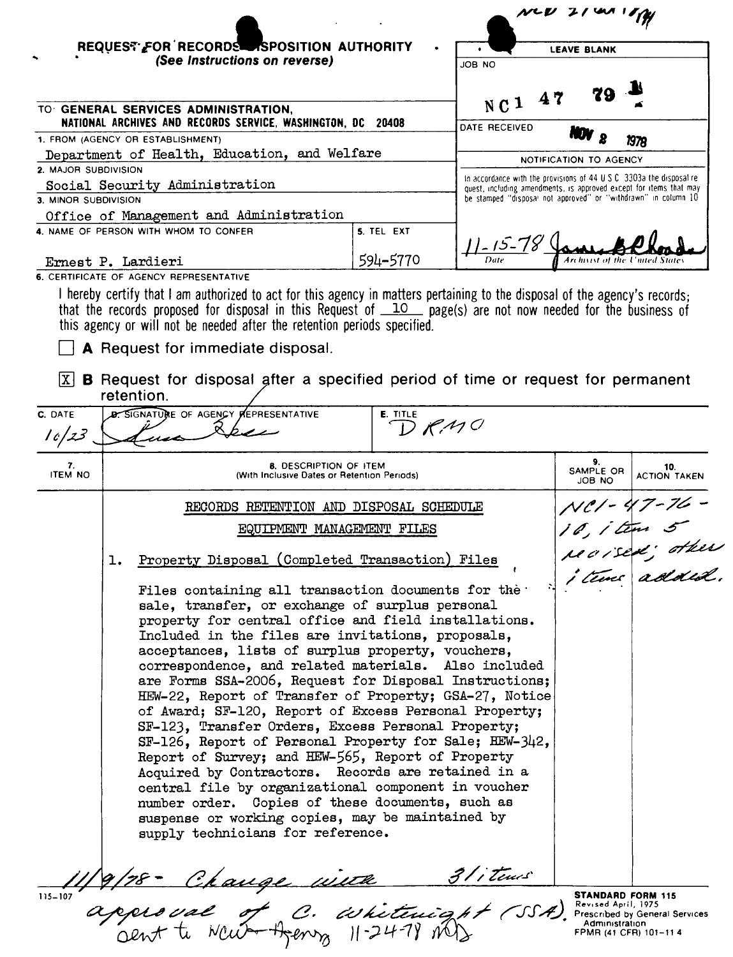|                      | REQUEST FOR RECORDS SPOSITION AUTHORITY<br>(See Instructions on reverse)                                                                                                                                                         |                            |                         | <b>LEAVE BLANK</b>                                                                                                                                              |                              |  |
|----------------------|----------------------------------------------------------------------------------------------------------------------------------------------------------------------------------------------------------------------------------|----------------------------|-------------------------|-----------------------------------------------------------------------------------------------------------------------------------------------------------------|------------------------------|--|
|                      |                                                                                                                                                                                                                                  |                            | JOB NO                  |                                                                                                                                                                 |                              |  |
|                      | TO GENERAL SERVICES ADMINISTRATION,<br>NATIONAL ARCHIVES AND RECORDS SERVICE, WASHINGTON, DC 20408                                                                                                                               |                            | NC1 47<br>DATE RECEIVED |                                                                                                                                                                 |                              |  |
|                      | 1. FROM (AGENCY OR ESTABLISHMENT)<br>Department of Health, Education, and Welfare                                                                                                                                                |                            |                         |                                                                                                                                                                 | 1978                         |  |
| 2. MAJOR SUBDIVISION |                                                                                                                                                                                                                                  |                            |                         | NOTIFICATION TO AGENCY                                                                                                                                          |                              |  |
|                      | Social Security Administration                                                                                                                                                                                                   |                            |                         | In accordance with the provisions of $44 \text{ U } S \text{ C}$ . 3303a the disposal re-<br>quest, including amendments, is approved except for items that may |                              |  |
| 3. MINOR SUBDIVISION |                                                                                                                                                                                                                                  |                            |                         | be stamped "disposal not approved" or "withdrawn" in column 10                                                                                                  |                              |  |
|                      | Office of Management and Administration<br>4. NAME OF PERSON WITH WHOM TO CONFER                                                                                                                                                 | 5. TEL EXT                 |                         |                                                                                                                                                                 |                              |  |
|                      |                                                                                                                                                                                                                                  |                            | <u> 11-15-</u> 78       |                                                                                                                                                                 |                              |  |
|                      | Ernest P. Lardieri                                                                                                                                                                                                               | 594-5770                   |                         |                                                                                                                                                                 |                              |  |
|                      | <b>6. CERTIFICATE OF AGENCY REPRESENTATIVE</b>                                                                                                                                                                                   |                            |                         |                                                                                                                                                                 |                              |  |
|                      | that the records proposed for disposal in this Request of $\Box$ page(s) are not now needed for the business of<br>this agency or will not be needed after the retention periods specified.<br>A Request for immediate disposal. |                            |                         |                                                                                                                                                                 |                              |  |
| C. DATE<br>16/23     | <b>D. SIGNATURE OF AGENCY REPRESENTATIVE</b>                                                                                                                                                                                     | E. TITLE<br>$D$ <i>RMC</i> |                         |                                                                                                                                                                 |                              |  |
| 7.<br>ITEM NO        | <b>8. DESCRIPTION OF ITEM</b><br>(With Inclusive Dates or Retention Periods)                                                                                                                                                     |                            |                         | 9.<br>SAMPLE OR<br>JOB NO                                                                                                                                       | 10.<br><b>ACTION TAKEN</b>   |  |
|                      |                                                                                                                                                                                                                                  |                            |                         |                                                                                                                                                                 |                              |  |
|                      | RECORDS RETENTION AND DISPOSAL SCHEDULE                                                                                                                                                                                          |                            |                         |                                                                                                                                                                 |                              |  |
|                      |                                                                                                                                                                                                                                  | EQUIPMENT MANAGEMENT FILES |                         |                                                                                                                                                                 | NCI - 47 - 76<br>10, i tem 5 |  |
|                      | Property Disposal (Completed Transaction) Files<br>ı.                                                                                                                                                                            |                            |                         |                                                                                                                                                                 | reaised; other               |  |

STANDARD FORM 115 Re v. s e d April, 1975 Prescribed by General Services Adrmmstrauon FPMR (41 CFR) 101-11 4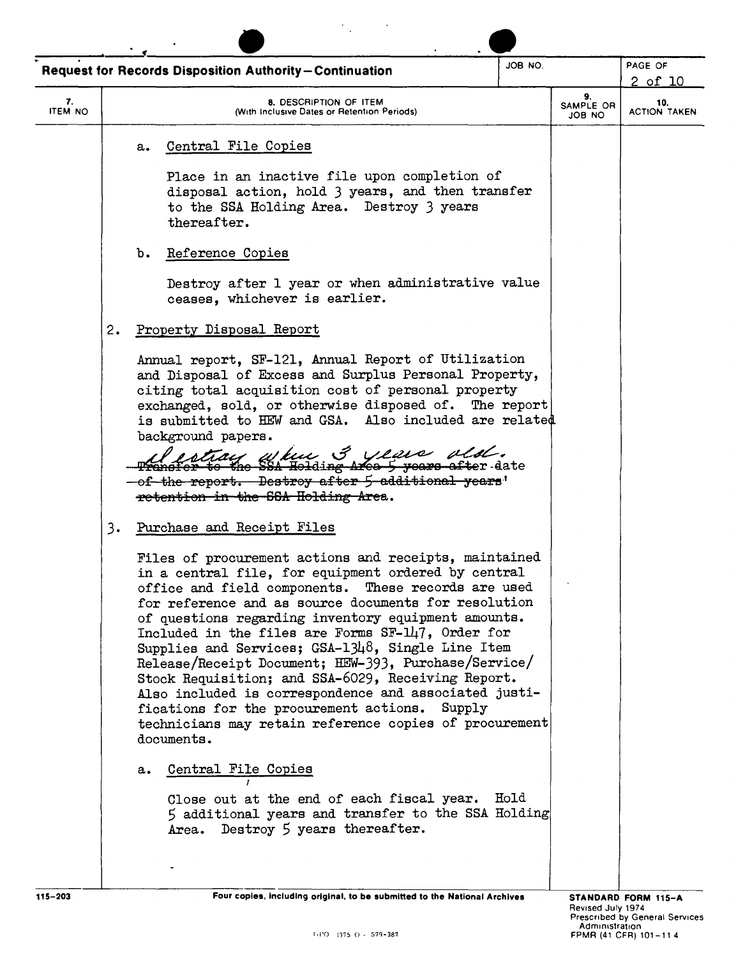| JOB NO.<br><b>Request for Records Disposition Authority-Continuation</b> |                                                                                                                                                                                                                                                                                                                                                                                                                                                                                                                                                                                                                                                                                                        |  | PAGE OF<br>2 of 10                                      |
|--------------------------------------------------------------------------|--------------------------------------------------------------------------------------------------------------------------------------------------------------------------------------------------------------------------------------------------------------------------------------------------------------------------------------------------------------------------------------------------------------------------------------------------------------------------------------------------------------------------------------------------------------------------------------------------------------------------------------------------------------------------------------------------------|--|---------------------------------------------------------|
| 7.<br><b>ITEM NO</b>                                                     | 8. DESCRIPTION OF ITEM<br>(With Inclusive Dates or Retention Periods)                                                                                                                                                                                                                                                                                                                                                                                                                                                                                                                                                                                                                                  |  | 9.<br>10.<br>SAMPLE OR<br><b>ACTION TAKEN</b><br>ON BOL |
|                                                                          | Central File Copies<br>a.                                                                                                                                                                                                                                                                                                                                                                                                                                                                                                                                                                                                                                                                              |  |                                                         |
|                                                                          | Place in an inactive file upon completion of<br>disposal action, hold 3 years, and then transfer<br>to the SSA Holding Area. Destroy 3 years<br>thereafter.                                                                                                                                                                                                                                                                                                                                                                                                                                                                                                                                            |  |                                                         |
|                                                                          | b.<br>Reference Copies                                                                                                                                                                                                                                                                                                                                                                                                                                                                                                                                                                                                                                                                                 |  |                                                         |
|                                                                          | Destroy after 1 year or when administrative value<br>ceases, whichever is earlier.                                                                                                                                                                                                                                                                                                                                                                                                                                                                                                                                                                                                                     |  |                                                         |
| 2.                                                                       | Property Disposal Report                                                                                                                                                                                                                                                                                                                                                                                                                                                                                                                                                                                                                                                                               |  |                                                         |
|                                                                          | Annual report, SF-121, Annual Report of Utilization<br>and Disposal of Excess and Surplus Personal Property,<br>citing total acquisition cost of personal property<br>exchanged, sold, or otherwise disposed of. The report<br>is submitted to HEW and GSA. Also included are related<br>background papers.<br>Tay where 3 years old.<br>to the SSA Holding Area 5 years after date<br>-of-the report. Destroy after 5 additional years'<br>retention in the SSA Holding Area.                                                                                                                                                                                                                         |  |                                                         |
| 3.                                                                       | Purchase and Receipt Files                                                                                                                                                                                                                                                                                                                                                                                                                                                                                                                                                                                                                                                                             |  |                                                         |
|                                                                          | Files of procurement actions and receipts, maintained<br>in a central file, for equipment ordered by central<br>office and field components. These records are used<br>for reference and as source documents for resolution<br>of questions regarding inventory equipment amounts.<br>Included in the files are Forms SF-147, Order for<br>Supplies and Services; $GSA-13\mu\delta$ , Single Line Item<br>Release/Receipt Document; HEW-393, Purchase/Service/<br>Stock Requisition; and SSA-6029, Receiving Report.<br>Also included is correspondence and associated justi-<br>fications for the procurement actions. Supply<br>technicians may retain reference copies of procurement<br>documents. |  |                                                         |
|                                                                          | Central File Copies<br>а.                                                                                                                                                                                                                                                                                                                                                                                                                                                                                                                                                                                                                                                                              |  |                                                         |
|                                                                          | Close out at the end of each fiscal year. Hold<br>5 additional years and transfer to the SSA Holding                                                                                                                                                                                                                                                                                                                                                                                                                                                                                                                                                                                                   |  |                                                         |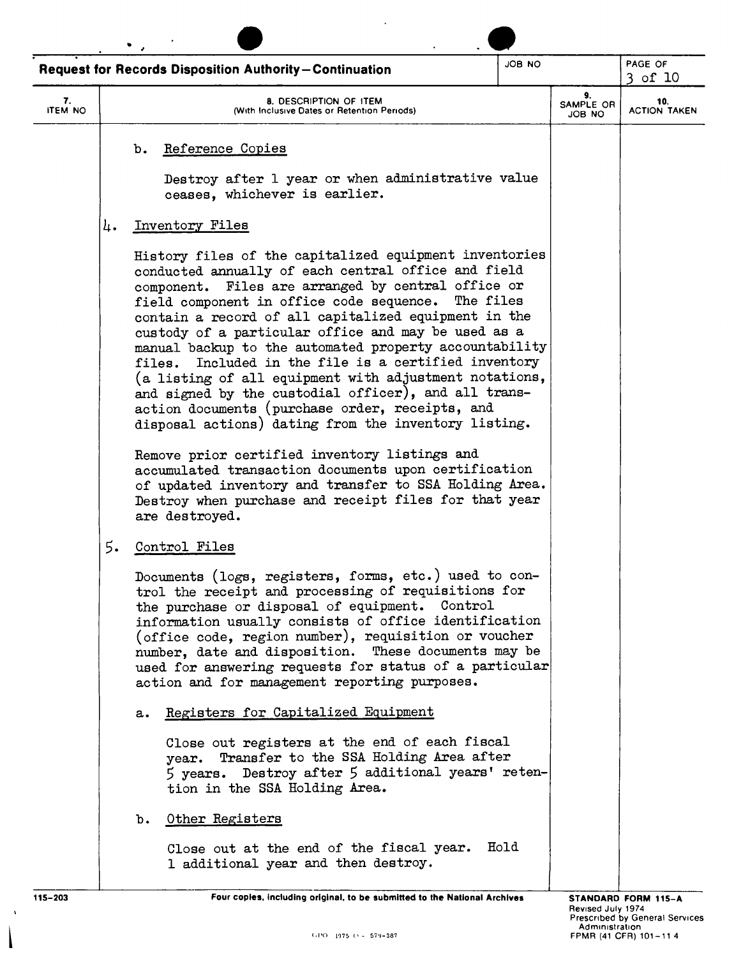|                      | JOB NO<br><b>Request for Records Disposition Authority-Continuation</b>                                                                                                                                                                                                                                                                                                                                                                                                                                                                                                                                                                                                                       |                           | PAGE OF<br>$3$ of $10$     |
|----------------------|-----------------------------------------------------------------------------------------------------------------------------------------------------------------------------------------------------------------------------------------------------------------------------------------------------------------------------------------------------------------------------------------------------------------------------------------------------------------------------------------------------------------------------------------------------------------------------------------------------------------------------------------------------------------------------------------------|---------------------------|----------------------------|
| 7.<br><b>ITEM NO</b> | 8. DESCRIPTION OF ITEM<br>(With Inclusive Dates or Retention Periods)                                                                                                                                                                                                                                                                                                                                                                                                                                                                                                                                                                                                                         | 9.<br>SAMPLE OR<br>JOB NO | 10.<br><b>ACTION TAKEN</b> |
|                      | Reference Copies<br>b.                                                                                                                                                                                                                                                                                                                                                                                                                                                                                                                                                                                                                                                                        |                           |                            |
|                      | Destroy after 1 year or when administrative value<br>ceases, whichever is earlier.                                                                                                                                                                                                                                                                                                                                                                                                                                                                                                                                                                                                            |                           |                            |
| 4.                   | Inventory Files                                                                                                                                                                                                                                                                                                                                                                                                                                                                                                                                                                                                                                                                               |                           |                            |
|                      | History files of the capitalized equipment inventories<br>conducted annually of each central office and field<br>component. Files are arranged by central office or<br>field component in office code sequence.<br>The files<br>contain a record of all capitalized equipment in the<br>custody of a particular office and may be used as a<br>manual backup to the automated property accountability<br>Included in the file is a certified inventory<br>files.<br>(a listing of all equipment with adjustment notations,<br>and signed by the custodial officer), and all trans-<br>action documents (purchase order, receipts, and<br>disposal actions) dating from the inventory listing. |                           |                            |
|                      | Remove prior certified inventory listings and<br>accumulated transaction documents upon certification<br>of updated inventory and transfer to SSA Holding Area.<br>Destroy when purchase and receipt files for that year<br>are destroyed.                                                                                                                                                                                                                                                                                                                                                                                                                                                    |                           |                            |
| 5.                   | Control Files                                                                                                                                                                                                                                                                                                                                                                                                                                                                                                                                                                                                                                                                                 |                           |                            |
|                      | Documents (logs, registers, forms, etc.) used to con-<br>trol the receipt and processing of requisitions for<br>the purchase or disposal of equipment. Control<br>information usually consists of office identification<br>(office code, region number), requisition or voucher<br>number, date and disposition. These documents may be<br>used for answering requests for status of a particular<br>action and for management reporting purposes.                                                                                                                                                                                                                                            |                           |                            |
|                      | Registers for Capitalized Equipment<br>a.                                                                                                                                                                                                                                                                                                                                                                                                                                                                                                                                                                                                                                                     |                           |                            |
|                      | Close out registers at the end of each fiscal<br>year. Transfer to the SSA Holding Area after<br>5 years. Destroy after 5 additional years' reten-<br>tion in the SSA Holding Area.                                                                                                                                                                                                                                                                                                                                                                                                                                                                                                           |                           |                            |
|                      | Other Registers<br>b.                                                                                                                                                                                                                                                                                                                                                                                                                                                                                                                                                                                                                                                                         |                           |                            |
|                      | Hold<br>Close out at the end of the fiscal year.<br>1 additional year and then destroy.                                                                                                                                                                                                                                                                                                                                                                                                                                                                                                                                                                                                       |                           |                            |

 $\chi$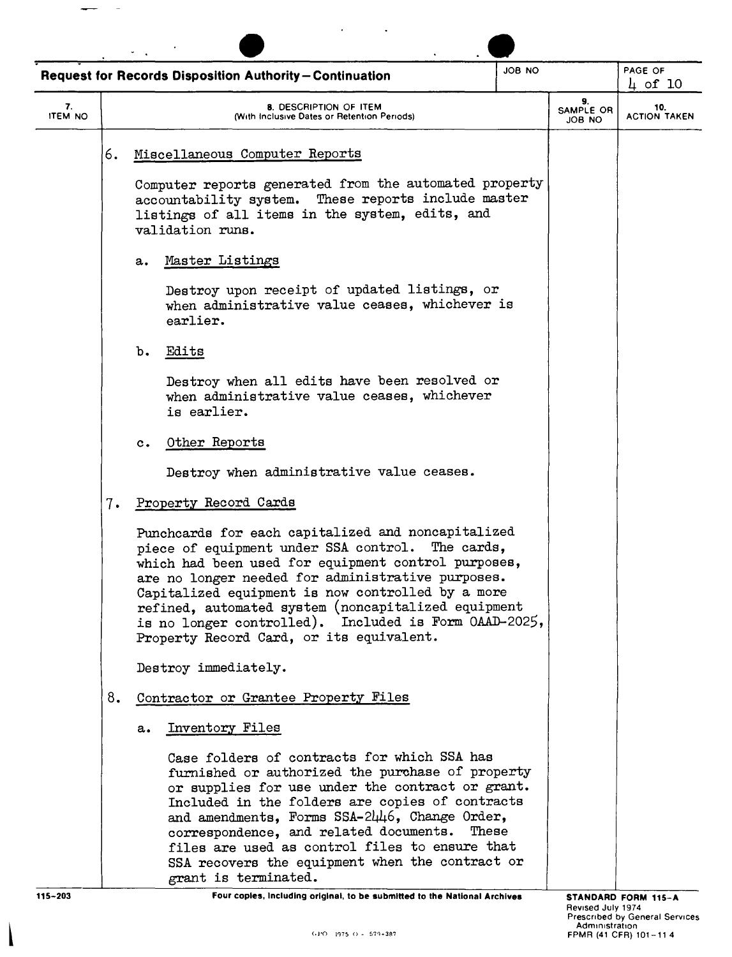|                      |                                                                       | <b>Request for Records Disposition Authority-Continuation</b>                                                                                                                                                                                                                                                                                                                                                                           | ON 8OL                    |                            | PAGE OF<br>$\mu$ of 10 |
|----------------------|-----------------------------------------------------------------------|-----------------------------------------------------------------------------------------------------------------------------------------------------------------------------------------------------------------------------------------------------------------------------------------------------------------------------------------------------------------------------------------------------------------------------------------|---------------------------|----------------------------|------------------------|
| 7.<br><b>ITEM NO</b> | 8. DESCRIPTION OF ITEM<br>(With Inclusive Dates or Retention Periods) |                                                                                                                                                                                                                                                                                                                                                                                                                                         | 9.<br>SAMPLE OR<br>OA BOL | 10.<br><b>ACTION TAKEN</b> |                        |
|                      | 6.                                                                    | Miscellaneous Computer Reports                                                                                                                                                                                                                                                                                                                                                                                                          |                           |                            |                        |
|                      |                                                                       | Computer reports generated from the automated property<br>accountability system. These reports include master<br>listings of all items in the system, edits, and<br>validation runs.                                                                                                                                                                                                                                                    |                           |                            |                        |
|                      |                                                                       | Master Listings<br>a.                                                                                                                                                                                                                                                                                                                                                                                                                   |                           |                            |                        |
|                      |                                                                       | Destroy upon receipt of updated listings, or<br>when administrative value ceases, whichever is<br>earlier.                                                                                                                                                                                                                                                                                                                              |                           |                            |                        |
|                      |                                                                       | Edits<br>b.                                                                                                                                                                                                                                                                                                                                                                                                                             |                           |                            |                        |
|                      |                                                                       | Destroy when all edits have been resolved or<br>when administrative value ceases, whichever<br>is earlier.                                                                                                                                                                                                                                                                                                                              |                           |                            |                        |
|                      |                                                                       | Other Reports<br>$c_{\bullet}$                                                                                                                                                                                                                                                                                                                                                                                                          |                           |                            |                        |
|                      |                                                                       | Destroy when administrative value ceases.                                                                                                                                                                                                                                                                                                                                                                                               |                           |                            |                        |
|                      | 7.                                                                    | Property Record Cards                                                                                                                                                                                                                                                                                                                                                                                                                   |                           |                            |                        |
|                      |                                                                       | Punchcards for each capitalized and noncapitalized<br>piece of equipment under SSA control. The cards,<br>which had been used for equipment control purposes,<br>are no longer needed for administrative purposes.<br>Capitalized equipment is now controlled by a more<br>refined, automated system (noncapitalized equipment<br>is no longer controlled). Included is Form OAAD-2025,<br>Property Record Card, or its equivalent.     |                           |                            |                        |
|                      |                                                                       | Destroy immediately.                                                                                                                                                                                                                                                                                                                                                                                                                    |                           |                            |                        |
|                      | 8.                                                                    | Contractor or Grantee Property Files                                                                                                                                                                                                                                                                                                                                                                                                    |                           |                            |                        |
|                      |                                                                       | Inventory Files<br>a.                                                                                                                                                                                                                                                                                                                                                                                                                   |                           |                            |                        |
|                      |                                                                       | Case folders of contracts for which SSA has<br>furnished or authorized the purchase of property<br>or supplies for use under the contract or grant.<br>Included in the folders are copies of contracts<br>and amendments, Forms SSA-2446, Change Order,<br>correspondence, and related documents.<br>These<br>files are used as control files to ensure that<br>SSA recovers the equipment when the contract or<br>grant is terminated. |                           |                            |                        |

 $\overline{\phantom{a}}$ 

 $\overline{\phantom{a}}$  $\overline{a}$ 

115-203 Four copies, Including original, to be submitted to the National Archives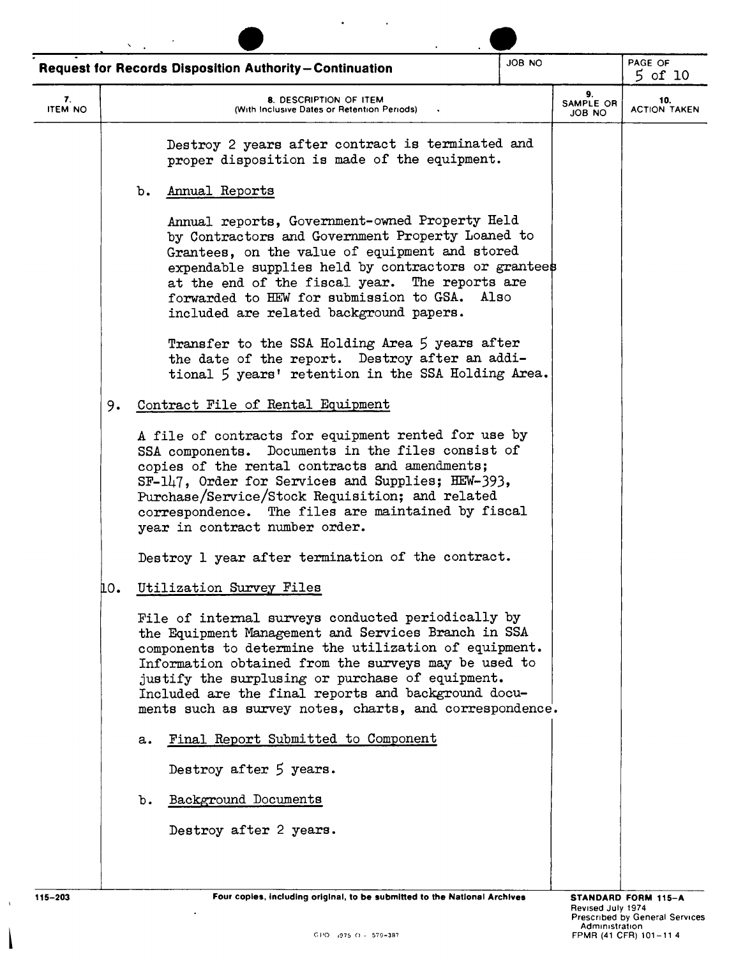|                      |     | <b>Request for Records Disposition Authority-Continuation</b>                                                                                                                                                                                                                                                                                                                                                                                                                                                         | JOB NO |                                  | PAGE OF<br>$5$ of 10       |
|----------------------|-----|-----------------------------------------------------------------------------------------------------------------------------------------------------------------------------------------------------------------------------------------------------------------------------------------------------------------------------------------------------------------------------------------------------------------------------------------------------------------------------------------------------------------------|--------|----------------------------------|----------------------------|
| 7.<br><b>ITEM NO</b> |     | 8. DESCRIPTION OF ITEM<br>(With Inclusive Dates or Retention Periods)                                                                                                                                                                                                                                                                                                                                                                                                                                                 |        | 9.<br><b>SAMPLE OR</b><br>ON BOL | 10.<br><b>ACTION TAKEN</b> |
|                      |     | Destroy 2 years after contract is terminated and<br>proper disposition is made of the equipment.<br>Annual Reports<br>b.                                                                                                                                                                                                                                                                                                                                                                                              |        |                                  |                            |
|                      |     | Annual reports, Government-owned Property Held<br>by Contractors and Government Property Loaned to<br>Grantees, on the value of equipment and stored<br>expendable supplies held by contractors or grantees<br>at the end of the fiscal year. The reports are<br>forwarded to HEW for submission to GSA.<br>Also<br>included are related background papers.<br>Transfer to the SSA Holding Area 5 years after<br>the date of the report. Destroy after an addi-<br>tional 5 years' retention in the SSA Holding Area. |        |                                  |                            |
|                      | 9.  | Contract File of Rental Equipment                                                                                                                                                                                                                                                                                                                                                                                                                                                                                     |        |                                  |                            |
|                      |     | A file of contracts for equipment rented for use by<br>SSA components. Documents in the files consist of<br>copies of the rental contracts and amendments;<br>SF-147, Order for Services and Supplies; HEW-393,<br>Purchase/Service/Stock Requisition; and related<br>correspondence. The files are maintained by fiscal<br>year in contract number order.                                                                                                                                                            |        |                                  |                            |
|                      |     | Destroy 1 year after termination of the contract.                                                                                                                                                                                                                                                                                                                                                                                                                                                                     |        |                                  |                            |
|                      | mо. | Utilization Survey Files                                                                                                                                                                                                                                                                                                                                                                                                                                                                                              |        |                                  |                            |
|                      |     | File of internal surveys conducted periodically by<br>the Equipment Management and Services Branch in SSA<br>components to determine the utilization of equipment.<br>Information obtained from the surveys may be used to<br>justify the surplusing or purchase of equipment.<br>Included are the final reports and background docu-<br>ments such as survey notes, charts, and correspondence.                                                                                                                      |        |                                  |                            |
|                      |     | Final Report Submitted to Component<br>a.                                                                                                                                                                                                                                                                                                                                                                                                                                                                             |        |                                  |                            |
|                      |     | Destroy after 5 years.                                                                                                                                                                                                                                                                                                                                                                                                                                                                                                |        |                                  |                            |
|                      |     | Background Documents<br>b.                                                                                                                                                                                                                                                                                                                                                                                                                                                                                            |        |                                  |                            |
|                      |     | Destroy after 2 years.                                                                                                                                                                                                                                                                                                                                                                                                                                                                                                |        |                                  |                            |
|                      |     |                                                                                                                                                                                                                                                                                                                                                                                                                                                                                                                       |        |                                  |                            |

 $\ddot{\phantom{0}}$ 

 $\rightarrow$ 

ł

 $\ddot{\phantom{a}}$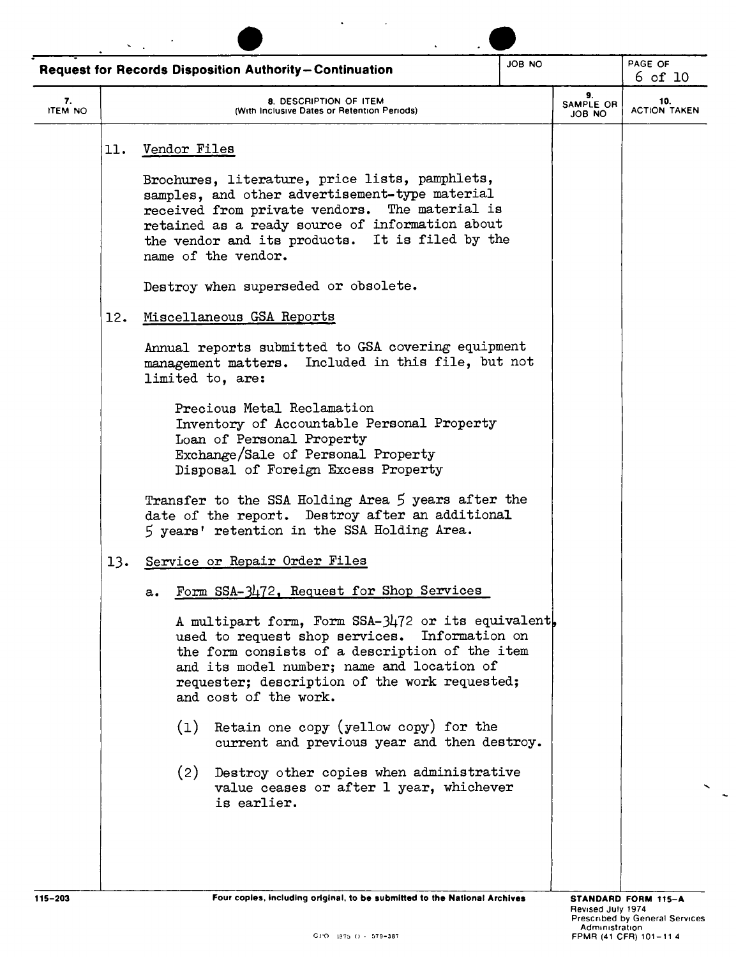| JOB NO                                                                                                                                                | PAGE OF<br>$6$ of 10                                                                                                                            |
|-------------------------------------------------------------------------------------------------------------------------------------------------------|-------------------------------------------------------------------------------------------------------------------------------------------------|
| 9.<br>SAMPLE OR<br>ON BOL                                                                                                                             | 10.<br><b>ACTION TAKEN</b>                                                                                                                      |
|                                                                                                                                                       |                                                                                                                                                 |
|                                                                                                                                                       |                                                                                                                                                 |
|                                                                                                                                                       |                                                                                                                                                 |
|                                                                                                                                                       |                                                                                                                                                 |
| Annual reports submitted to GSA covering equipment<br>management matters. Included in this file, but not                                              |                                                                                                                                                 |
|                                                                                                                                                       |                                                                                                                                                 |
| Transfer to the SSA Holding Area 5 years after the                                                                                                    |                                                                                                                                                 |
|                                                                                                                                                       |                                                                                                                                                 |
|                                                                                                                                                       |                                                                                                                                                 |
| A multipart form, Form SSA-3472 or its equivalent,<br>used to request shop services. Information on<br>the form consists of a description of the item |                                                                                                                                                 |
|                                                                                                                                                       |                                                                                                                                                 |
|                                                                                                                                                       |                                                                                                                                                 |
| (2) Destroy other copies when administrative                                                                                                          | current and previous year and then destroy.<br>Four copies, including original, to be submitted to the National Archives<br>STANDARD FORM 115-A |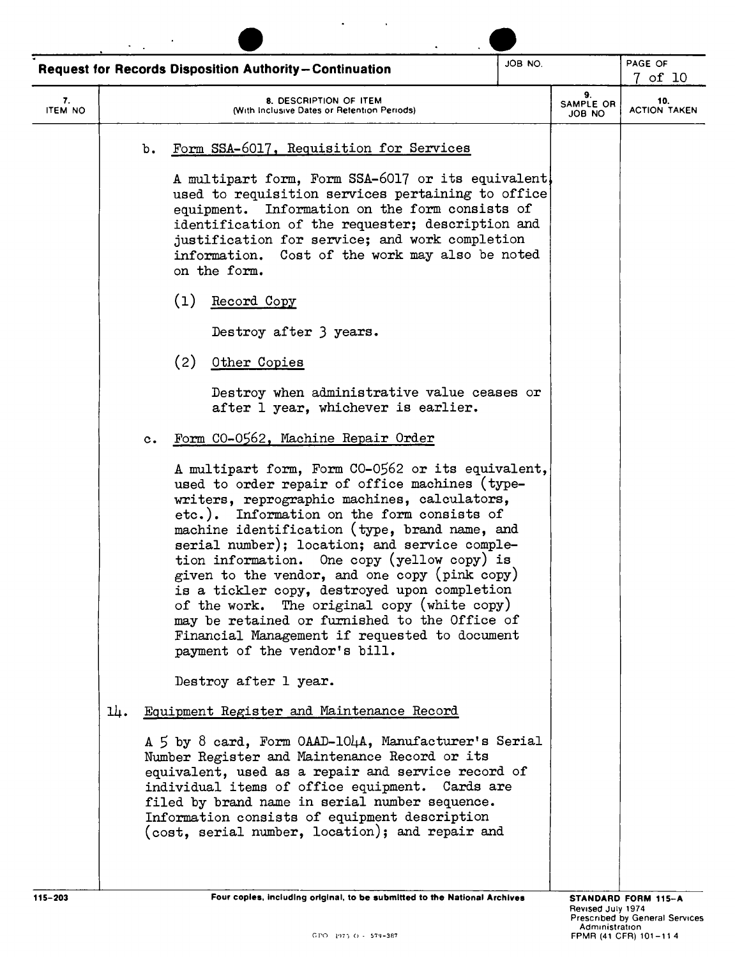|                      | <b>Request for Records Disposition Authority-Continuation</b>                                                                                                                                                                                                                                                                                                                                                                                                                                                                                                                                                                         | JOB NO. |                           | PAGE OF<br>7 of 10         |
|----------------------|---------------------------------------------------------------------------------------------------------------------------------------------------------------------------------------------------------------------------------------------------------------------------------------------------------------------------------------------------------------------------------------------------------------------------------------------------------------------------------------------------------------------------------------------------------------------------------------------------------------------------------------|---------|---------------------------|----------------------------|
| 7.<br><b>ITEM NO</b> | 8. DESCRIPTION OF ITEM<br>(With Inclusive Dates or Retention Periods)                                                                                                                                                                                                                                                                                                                                                                                                                                                                                                                                                                 |         | 9.<br>SAMPLE OR<br>OU BOL | 10.<br><b>ACTION TAKEN</b> |
|                      | Form SSA-6017, Requisition for Services<br>b.                                                                                                                                                                                                                                                                                                                                                                                                                                                                                                                                                                                         |         |                           |                            |
|                      | A multipart form, Form SSA-6017 or its equivalent<br>used to requisition services pertaining to office<br>equipment. Information on the form consists of<br>identification of the requester; description and<br>justification for service; and work completion<br>information. Cost of the work may also be noted<br>on the form.                                                                                                                                                                                                                                                                                                     |         |                           |                            |
|                      | (1)<br>Record Copy                                                                                                                                                                                                                                                                                                                                                                                                                                                                                                                                                                                                                    |         |                           |                            |
|                      | Destroy after 3 years.                                                                                                                                                                                                                                                                                                                                                                                                                                                                                                                                                                                                                |         |                           |                            |
|                      | (2)<br>Other Copies                                                                                                                                                                                                                                                                                                                                                                                                                                                                                                                                                                                                                   |         |                           |                            |
|                      | Destroy when administrative value ceases or<br>after 1 year, whichever is earlier.                                                                                                                                                                                                                                                                                                                                                                                                                                                                                                                                                    |         |                           |                            |
|                      | Form CO-0562, Machine Repair Order<br>$c_{\bullet}$                                                                                                                                                                                                                                                                                                                                                                                                                                                                                                                                                                                   |         |                           |                            |
|                      | A multipart form, Form CO-0562 or its equivalent,<br>used to order repair of office machines (type-<br>writers, reprographic machines, calculators,<br>etc.). Information on the form consists of<br>machine identification (type, brand name, and<br>serial number); location; and service comple-<br>tion information. One copy (yellow copy) is<br>given to the vendor, and one copy (pink copy)<br>is a tickler copy, destroyed upon completion<br>of the work. The original copy (white copy)<br>may be retained or furnished to the Office of<br>Financial Management if requested to document<br>payment of the vendor's bill. |         |                           |                            |
|                      | Destroy after 1 year.                                                                                                                                                                                                                                                                                                                                                                                                                                                                                                                                                                                                                 |         |                           |                            |
| ᄮ.                   | Equipment Register and Maintenance Record                                                                                                                                                                                                                                                                                                                                                                                                                                                                                                                                                                                             |         |                           |                            |
|                      | A 5 by 8 card, Form OAAD-104A, Manufacturer's Serial<br>Number Register and Maintenance Record or its<br>equivalent, used as a repair and service record of<br>individual items of office equipment. Cards are<br>filed by brand name in serial number sequence.<br>Information consists of equipment description<br>(cost, serial number, location); and repair and                                                                                                                                                                                                                                                                  |         |                           |                            |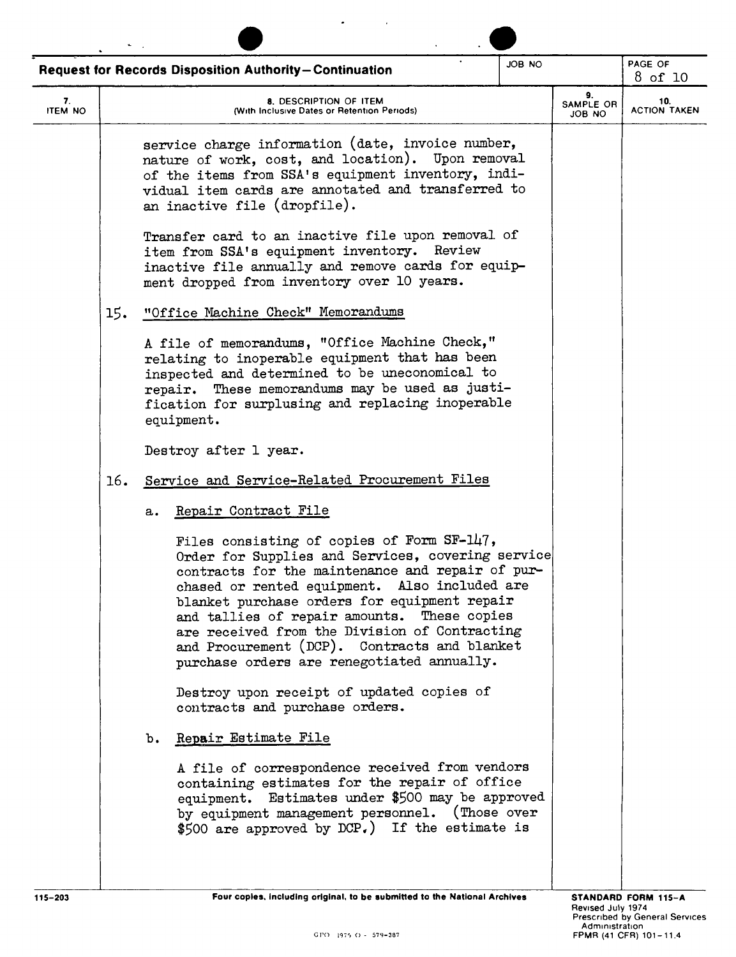|                                                                                                                                                                                                                                                                                                                                                                                                                                                    | JOB NO<br><b>Request for Records Disposition Authority-Continuation</b> |                                                                                                                                                                                                                                                                                                                                      |                            |
|----------------------------------------------------------------------------------------------------------------------------------------------------------------------------------------------------------------------------------------------------------------------------------------------------------------------------------------------------------------------------------------------------------------------------------------------------|-------------------------------------------------------------------------|--------------------------------------------------------------------------------------------------------------------------------------------------------------------------------------------------------------------------------------------------------------------------------------------------------------------------------------|----------------------------|
| 8. DESCRIPTION OF ITEM<br>(With Inclusive Dates or Retention Periods)                                                                                                                                                                                                                                                                                                                                                                              |                                                                         | 9.<br>SAMPLE OR<br>ON BOL                                                                                                                                                                                                                                                                                                            | 10.<br><b>ACTION TAKEN</b> |
| service charge information (date, invoice number,<br>nature of work, cost, and location). Upon removal<br>of the items from SSA's equipment inventory, indi-<br>vidual item cards are annotated and transferred to<br>an inactive file (dropfile).                                                                                                                                                                                                 |                                                                         |                                                                                                                                                                                                                                                                                                                                      |                            |
| Transfer card to an inactive file upon removal of<br>item from SSA's equipment inventory. Review<br>inactive file annually and remove cards for equip-<br>ment dropped from inventory over 10 years.                                                                                                                                                                                                                                               |                                                                         |                                                                                                                                                                                                                                                                                                                                      |                            |
| "Office Machine Check" Memorandums                                                                                                                                                                                                                                                                                                                                                                                                                 |                                                                         |                                                                                                                                                                                                                                                                                                                                      |                            |
| A file of memorandums, "Office Machine Check,"<br>relating to inoperable equipment that has been<br>inspected and determined to be uneconomical to<br>repair. These memorandums may be used as justi-<br>fication for surplusing and replacing inoperable<br>equipment.                                                                                                                                                                            |                                                                         |                                                                                                                                                                                                                                                                                                                                      |                            |
| Destroy after 1 year.                                                                                                                                                                                                                                                                                                                                                                                                                              |                                                                         |                                                                                                                                                                                                                                                                                                                                      |                            |
| Service and Service-Related Procurement Files                                                                                                                                                                                                                                                                                                                                                                                                      |                                                                         |                                                                                                                                                                                                                                                                                                                                      |                            |
| Repair Contract File                                                                                                                                                                                                                                                                                                                                                                                                                               |                                                                         |                                                                                                                                                                                                                                                                                                                                      |                            |
| Files consisting of copies of Form SF-147,<br>Order for Supplies and Services, covering service<br>contracts for the maintenance and repair of pur-<br>chased or rented equipment. Also included are<br>blanket purchase orders for equipment repair<br>and tallies of repair amounts. These copies<br>are received from the Division of Contracting<br>and Procurement (DCP). Contracts and blanket<br>purchase orders are renegotiated annually. |                                                                         |                                                                                                                                                                                                                                                                                                                                      |                            |
| Destroy upon receipt of updated copies of<br>contracts and purchase orders.                                                                                                                                                                                                                                                                                                                                                                        |                                                                         |                                                                                                                                                                                                                                                                                                                                      |                            |
| Repair Estimate File                                                                                                                                                                                                                                                                                                                                                                                                                               |                                                                         |                                                                                                                                                                                                                                                                                                                                      |                            |
|                                                                                                                                                                                                                                                                                                                                                                                                                                                    |                                                                         |                                                                                                                                                                                                                                                                                                                                      |                            |
|                                                                                                                                                                                                                                                                                                                                                                                                                                                    |                                                                         | A file of correspondence received from vendors<br>containing estimates for the repair of office<br>equipment. Estimates under \$500 may be approved<br>by equipment management personnel. (Those over<br>\$500 are approved by DCP.) If the estimate is<br>Four coples, including original, to be submitted to the National Archives | STANDARD FORM 115-A        |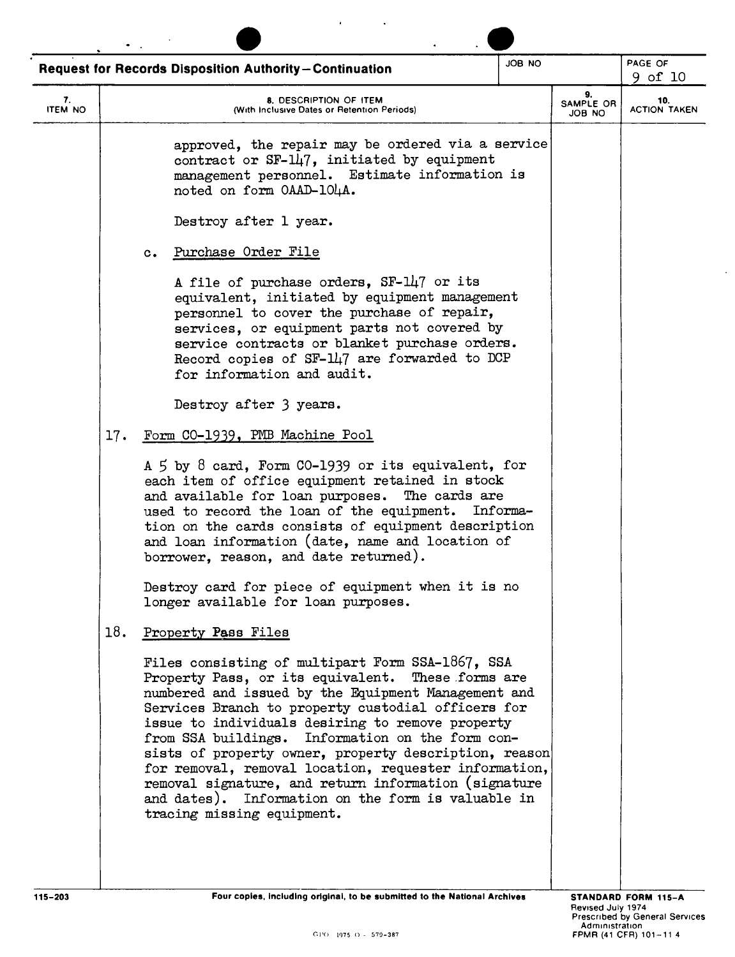|                      |                                                                                                    | Request for Records Disposition Authority-Continuation                                                                                                                                                                                                                                                                                                                                                                                                                                                                                                                                   | JOB NO |  | PAGE OF<br>9 of 10         |  |
|----------------------|----------------------------------------------------------------------------------------------------|------------------------------------------------------------------------------------------------------------------------------------------------------------------------------------------------------------------------------------------------------------------------------------------------------------------------------------------------------------------------------------------------------------------------------------------------------------------------------------------------------------------------------------------------------------------------------------------|--------|--|----------------------------|--|
| 7.<br><b>ITEM NO</b> | 9.<br>8. DESCRIPTION OF ITEM<br>SAMPLE OR<br>(With Inclusive Dates or Retention Periods)<br>JOB NO |                                                                                                                                                                                                                                                                                                                                                                                                                                                                                                                                                                                          |        |  | 10.<br><b>ACTION TAKEN</b> |  |
|                      |                                                                                                    | approved, the repair may be ordered via a service<br>contract or $SF-147$ , initiated by equipment<br>management personnel. Estimate information is<br>noted on form OAAD-104A.                                                                                                                                                                                                                                                                                                                                                                                                          |        |  |                            |  |
|                      |                                                                                                    | Destroy after 1 year.                                                                                                                                                                                                                                                                                                                                                                                                                                                                                                                                                                    |        |  |                            |  |
|                      |                                                                                                    | Purchase Order File<br>$c_{\bullet}$                                                                                                                                                                                                                                                                                                                                                                                                                                                                                                                                                     |        |  |                            |  |
|                      |                                                                                                    | A file of purchase orders, SF-147 or its<br>equivalent, initiated by equipment management<br>personnel to cover the purchase of repair,<br>services, or equipment parts not covered by<br>service contracts or blanket purchase orders.<br>Record copies of SF-147 are forwarded to DCP<br>for information and audit.                                                                                                                                                                                                                                                                    |        |  |                            |  |
|                      |                                                                                                    | Destroy after 3 years.                                                                                                                                                                                                                                                                                                                                                                                                                                                                                                                                                                   |        |  |                            |  |
|                      | 17.                                                                                                | Form CO-1939, PMB Machine Pool                                                                                                                                                                                                                                                                                                                                                                                                                                                                                                                                                           |        |  |                            |  |
|                      |                                                                                                    | A 5 by 8 card, Form CO-1939 or its equivalent, for<br>each item of office equipment retained in stock<br>and available for loan purposes. The cards are<br>used to record the loan of the equipment. Informa-<br>tion on the cards consists of equipment description<br>and loan information (date, name and location of<br>borrower, reason, and date returned).                                                                                                                                                                                                                        |        |  |                            |  |
|                      |                                                                                                    | Destroy card for piece of equipment when it is no<br>longer available for loan purposes.                                                                                                                                                                                                                                                                                                                                                                                                                                                                                                 |        |  |                            |  |
|                      | 18.                                                                                                | Property Pass Files                                                                                                                                                                                                                                                                                                                                                                                                                                                                                                                                                                      |        |  |                            |  |
|                      |                                                                                                    | Files consisting of multipart Form SSA-1867, SSA<br>Property Pass, or its equivalent. These forms are<br>numbered and issued by the Equipment Management and<br>Services Branch to property custodial officers for<br>issue to individuals desiring to remove property<br>from SSA buildings. Information on the form con-<br>sists of property owner, property description, reason<br>for removal, removal location, requester information,<br>removal signature, and return information (signature<br>and dates). Information on the form is valuable in<br>tracing missing equipment. |        |  |                            |  |
| 115-203              |                                                                                                    | Four copies, including original, to be submitted to the National Archives                                                                                                                                                                                                                                                                                                                                                                                                                                                                                                                |        |  | STANDARD FORM 115-A        |  |

 $\langle \rangle$